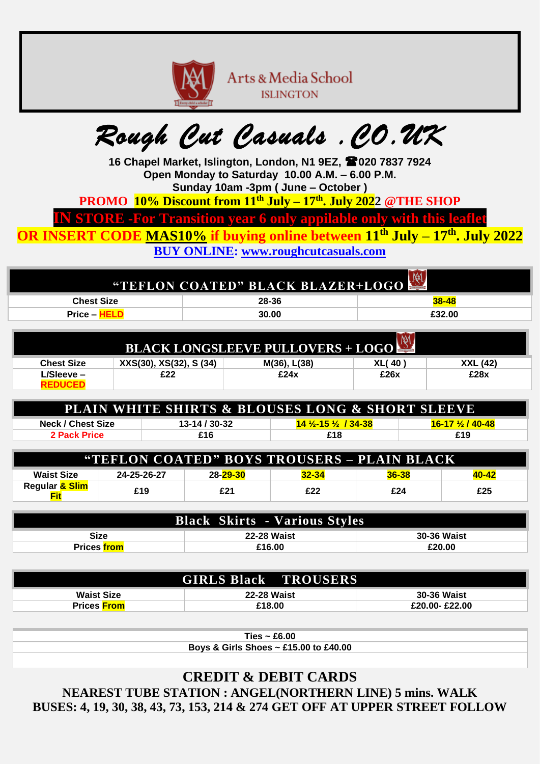

Arts & Media School **ISLINGTON** 

## *Rough Cut Casuals .CO.UK*

**16 Chapel Market, Islington, London, N1 9EZ, 020 7837 7924 Open Monday to Saturday 10.00 A.M. – 6.00 P.M. Sunday 10am -3pm ( June – October )** 

**PROMO 10% Discount from 11th July – 17 th . July 2022 @THE SHOP**

**IN STORE -For Transition year 6 only appilable only with this leafle** 

**OR INSERT CODE MAS10% if buying online between 11th July – 17 th . July 2022**

**BUY ONLINE: [www.roughcutcasuals.com](http://www.roughcutcasuals.com/)**

| <b>AM</b><br><b>"TEFLON COATED" BLACK BLAZER+LOGO</b> |       |           |  |  |
|-------------------------------------------------------|-------|-----------|--|--|
| <b>Chest Size</b>                                     | 28-36 | $38 - 48$ |  |  |
| $Price -$                                             | 30.00 | £32.00    |  |  |
|                                                       |       |           |  |  |

| $\overline{M}$<br><b>BLACK LONGSLEEVE PULLOVERS + LOGO</b> |                         |              |               |                 |
|------------------------------------------------------------|-------------------------|--------------|---------------|-----------------|
| <b>Chest Size</b>                                          | XXS(30), XS(32), S (34) | M(36), L(38) | <b>XL(40)</b> | <b>XXL (42)</b> |
| L/Sleeve –                                                 | £22                     | £24x         | £26x          | £28x            |

| <b>PLAIN WHITE SHIRTS &amp; BLOUSES LONG &amp; SHORT SLEEVE</b>                                            |     |     |     |  |  |  |
|------------------------------------------------------------------------------------------------------------|-----|-----|-----|--|--|--|
| $13 - 14 / 30 - 32$<br><u>14 1⁄2-15 1⁄2 / 34-38 </u><br><u>16-17 ½ / 40-48</u><br><b>Neck / Chest Size</b> |     |     |     |  |  |  |
| <b>2 Pack Price</b>                                                                                        | £16 | £18 | £19 |  |  |  |

| "TEFLON COATED" BOYS TROUSERS - PLAIN BLACK |             |                 |           |           |       |
|---------------------------------------------|-------------|-----------------|-----------|-----------|-------|
| <b>Waist Size</b>                           | 24-25-26-27 | <b>28-29-30</b> | $32 - 34$ | $36 - 38$ | 40-42 |
| Regular <mark>&amp; Slim</mark><br>Fit      | £19         | £21             | £22       | £24       | £25   |

| <b>Black Skirts - Various Styles</b>             |        |        |  |  |  |
|--------------------------------------------------|--------|--------|--|--|--|
| Size<br><b>30-36 Waist</b><br><b>22-28 Waist</b> |        |        |  |  |  |
| <b>Prices</b> from                               | £16.00 | £20.00 |  |  |  |

|                    | <b>GIRLS Black TROUSERS</b> |                    |
|--------------------|-----------------------------|--------------------|
| <b>Waist Size</b>  | <b>22-28 Waist</b>          | <b>30-36 Waist</b> |
| <b>Prices</b> From | £18.00                      | £20.00-£22.00      |

**Ties ~ £6.00**

**Boys & Girls Shoes ~ £15.00 to £40.00**

**CREDIT & DEBIT CARDS NEAREST TUBE STATION : ANGEL(NORTHERN LINE) 5 mins. WALK BUSES: 4, 19, 30, 38, 43, 73, 153, 214 & 274 GET OFF AT UPPER STREET FOLLOW**